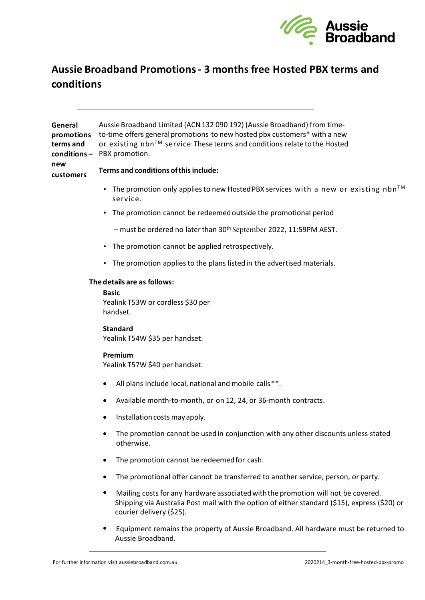

# **Aussie Broadband Promotions - 3 months free Hosted PBX terms and conditions**

**General promotions**  to-time offers general promotions to new hosted pbx customers\* with a new **terms and conditions –** PBX promotion. Aussie Broadband Limited (ACN 132 090 192) (Aussie Broadband) from timeor existing nbnTM service*.* These terms and conditions relate to the Hosted

## **new customers**

# **Terms and conditions of this include:**

- The promotion only applies to new Hosted PBX services with a new or existing nbn<sup>TM</sup> service.
- The promotion cannot be redeemed outside the promotional period
	- must be ordered no later than 30th September 2022, 11:59PM AEST.
- The promotion cannot be applied retrospectively.
- The promotion applies to the plans listed in the advertised materials.

# **The details are as follows:**

#### **Basic**

Yealink T53W or cordless \$30 per handset.

# **Standard**

Yealink T54W \$35 per handset.

# **Premium**

Yealink T57W \$40 per handset.

- All plans include local, national and mobile calls\*\*.
- Available month-to-month, or on 12, 24, or 36-month contracts.
- Installation costs may apply.
- The promotion cannot be used in conjunction with any other discounts unless stated otherwise.
- The promotion cannot be redeemed for cash.
- The promotional offer cannot be transferred to another service, person, or party.
- Mailing costs for any hardware associated with the promotion will not be covered. Shipping via Australia Post mail with the option of either standard (\$15), express (\$20) or courier delivery (\$25).
- Equipment remains the property of Aussie Broadband. All hardware must be returned to Aussie Broadband.